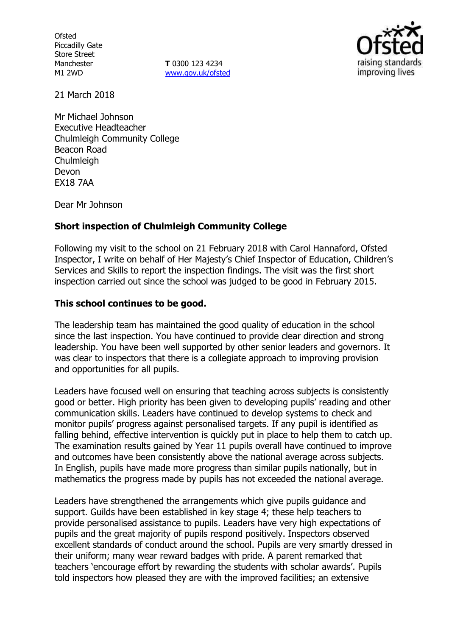**Ofsted** Piccadilly Gate Store Street Manchester M1 2WD

**T** 0300 123 4234 www.gov.uk/ofsted



21 March 2018

Mr Michael Johnson Executive Headteacher Chulmleigh Community College Beacon Road Chulmleigh Devon EX18 7AA

Dear Mr Johnson

## **Short inspection of Chulmleigh Community College**

Following my visit to the school on 21 February 2018 with Carol Hannaford, Ofsted Inspector, I write on behalf of Her Majesty's Chief Inspector of Education, Children's Services and Skills to report the inspection findings. The visit was the first short inspection carried out since the school was judged to be good in February 2015.

## **This school continues to be good.**

The leadership team has maintained the good quality of education in the school since the last inspection. You have continued to provide clear direction and strong leadership. You have been well supported by other senior leaders and governors. It was clear to inspectors that there is a collegiate approach to improving provision and opportunities for all pupils.

Leaders have focused well on ensuring that teaching across subjects is consistently good or better. High priority has been given to developing pupils' reading and other communication skills. Leaders have continued to develop systems to check and monitor pupils' progress against personalised targets. If any pupil is identified as falling behind, effective intervention is quickly put in place to help them to catch up. The examination results gained by Year 11 pupils overall have continued to improve and outcomes have been consistently above the national average across subjects. In English, pupils have made more progress than similar pupils nationally, but in mathematics the progress made by pupils has not exceeded the national average.

Leaders have strengthened the arrangements which give pupils guidance and support. Guilds have been established in key stage 4; these help teachers to provide personalised assistance to pupils. Leaders have very high expectations of pupils and the great majority of pupils respond positively. Inspectors observed excellent standards of conduct around the school. Pupils are very smartly dressed in their uniform; many wear reward badges with pride. A parent remarked that teachers 'encourage effort by rewarding the students with scholar awards'. Pupils told inspectors how pleased they are with the improved facilities; an extensive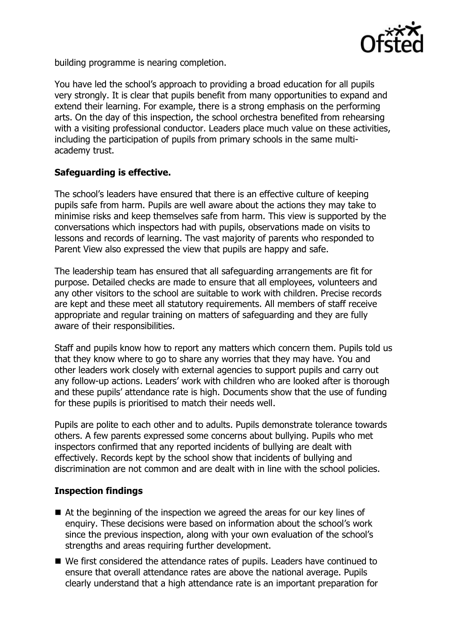

building programme is nearing completion.

You have led the school's approach to providing a broad education for all pupils very strongly. It is clear that pupils benefit from many opportunities to expand and extend their learning. For example, there is a strong emphasis on the performing arts. On the day of this inspection, the school orchestra benefited from rehearsing with a visiting professional conductor. Leaders place much value on these activities, including the participation of pupils from primary schools in the same multiacademy trust.

## **Safeguarding is effective.**

The school's leaders have ensured that there is an effective culture of keeping pupils safe from harm. Pupils are well aware about the actions they may take to minimise risks and keep themselves safe from harm. This view is supported by the conversations which inspectors had with pupils, observations made on visits to lessons and records of learning. The vast majority of parents who responded to Parent View also expressed the view that pupils are happy and safe.

The leadership team has ensured that all safeguarding arrangements are fit for purpose. Detailed checks are made to ensure that all employees, volunteers and any other visitors to the school are suitable to work with children. Precise records are kept and these meet all statutory requirements. All members of staff receive appropriate and regular training on matters of safeguarding and they are fully aware of their responsibilities.

Staff and pupils know how to report any matters which concern them. Pupils told us that they know where to go to share any worries that they may have. You and other leaders work closely with external agencies to support pupils and carry out any follow-up actions. Leaders' work with children who are looked after is thorough and these pupils' attendance rate is high. Documents show that the use of funding for these pupils is prioritised to match their needs well.

Pupils are polite to each other and to adults. Pupils demonstrate tolerance towards others. A few parents expressed some concerns about bullying. Pupils who met inspectors confirmed that any reported incidents of bullying are dealt with effectively. Records kept by the school show that incidents of bullying and discrimination are not common and are dealt with in line with the school policies.

# **Inspection findings**

- At the beginning of the inspection we agreed the areas for our key lines of enquiry. These decisions were based on information about the school's work since the previous inspection, along with your own evaluation of the school's strengths and areas requiring further development.
- We first considered the attendance rates of pupils. Leaders have continued to ensure that overall attendance rates are above the national average. Pupils clearly understand that a high attendance rate is an important preparation for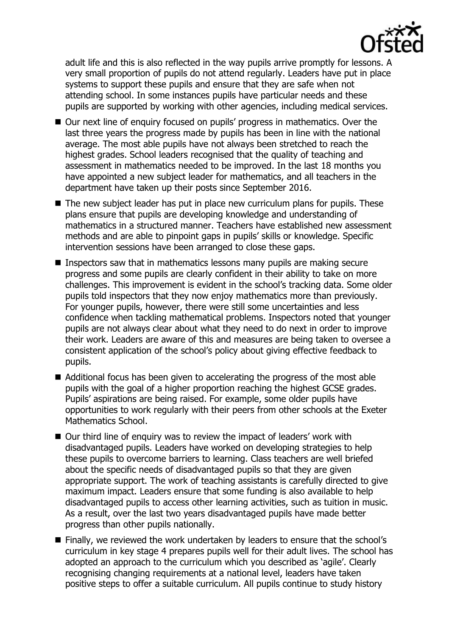

adult life and this is also reflected in the way pupils arrive promptly for lessons. A very small proportion of pupils do not attend regularly. Leaders have put in place systems to support these pupils and ensure that they are safe when not attending school. In some instances pupils have particular needs and these pupils are supported by working with other agencies, including medical services.

- Our next line of enquiry focused on pupils' progress in mathematics. Over the last three years the progress made by pupils has been in line with the national average. The most able pupils have not always been stretched to reach the highest grades. School leaders recognised that the quality of teaching and assessment in mathematics needed to be improved. In the last 18 months you have appointed a new subject leader for mathematics, and all teachers in the department have taken up their posts since September 2016.
- $\blacksquare$  The new subject leader has put in place new curriculum plans for pupils. These plans ensure that pupils are developing knowledge and understanding of mathematics in a structured manner. Teachers have established new assessment methods and are able to pinpoint gaps in pupils' skills or knowledge. Specific intervention sessions have been arranged to close these gaps.
- **Inspectors saw that in mathematics lessons many pupils are making secure** progress and some pupils are clearly confident in their ability to take on more challenges. This improvement is evident in the school's tracking data. Some older pupils told inspectors that they now enjoy mathematics more than previously. For younger pupils, however, there were still some uncertainties and less confidence when tackling mathematical problems. Inspectors noted that younger pupils are not always clear about what they need to do next in order to improve their work. Leaders are aware of this and measures are being taken to oversee a consistent application of the school's policy about giving effective feedback to pupils.
- Additional focus has been given to accelerating the progress of the most able pupils with the goal of a higher proportion reaching the highest GCSE grades. Pupils' aspirations are being raised. For example, some older pupils have opportunities to work regularly with their peers from other schools at the Exeter Mathematics School.
- Our third line of enquiry was to review the impact of leaders' work with disadvantaged pupils. Leaders have worked on developing strategies to help these pupils to overcome barriers to learning. Class teachers are well briefed about the specific needs of disadvantaged pupils so that they are given appropriate support. The work of teaching assistants is carefully directed to give maximum impact. Leaders ensure that some funding is also available to help disadvantaged pupils to access other learning activities, such as tuition in music. As a result, over the last two years disadvantaged pupils have made better progress than other pupils nationally.
- Finally, we reviewed the work undertaken by leaders to ensure that the school's curriculum in key stage 4 prepares pupils well for their adult lives. The school has adopted an approach to the curriculum which you described as 'agile'. Clearly recognising changing requirements at a national level, leaders have taken positive steps to offer a suitable curriculum. All pupils continue to study history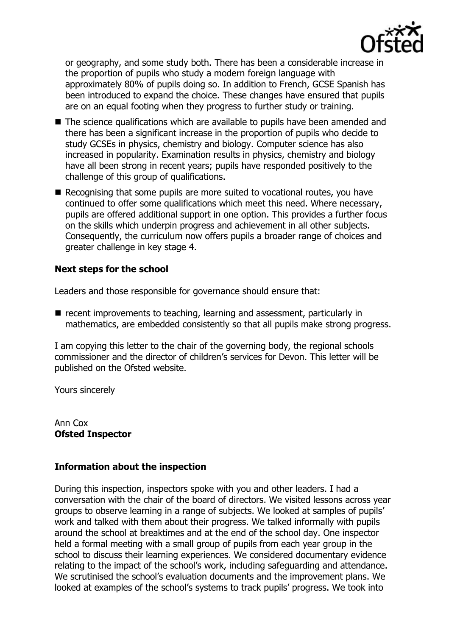

or geography, and some study both. There has been a considerable increase in the proportion of pupils who study a modern foreign language with approximately 80% of pupils doing so. In addition to French, GCSE Spanish has been introduced to expand the choice. These changes have ensured that pupils are on an equal footing when they progress to further study or training.

- The science qualifications which are available to pupils have been amended and there has been a significant increase in the proportion of pupils who decide to study GCSEs in physics, chemistry and biology. Computer science has also increased in popularity. Examination results in physics, chemistry and biology have all been strong in recent years; pupils have responded positively to the challenge of this group of qualifications.
- Recognising that some pupils are more suited to vocational routes, you have continued to offer some qualifications which meet this need. Where necessary, pupils are offered additional support in one option. This provides a further focus on the skills which underpin progress and achievement in all other subjects. Consequently, the curriculum now offers pupils a broader range of choices and greater challenge in key stage 4.

#### **Next steps for the school**

Leaders and those responsible for governance should ensure that:

 $\blacksquare$  recent improvements to teaching, learning and assessment, particularly in mathematics, are embedded consistently so that all pupils make strong progress.

I am copying this letter to the chair of the governing body, the regional schools commissioner and the director of children's services for Devon. This letter will be published on the Ofsted website.

Yours sincerely

Ann Cox **Ofsted Inspector**

## **Information about the inspection**

During this inspection, inspectors spoke with you and other leaders. I had a conversation with the chair of the board of directors. We visited lessons across year groups to observe learning in a range of subjects. We looked at samples of pupils' work and talked with them about their progress. We talked informally with pupils around the school at breaktimes and at the end of the school day. One inspector held a formal meeting with a small group of pupils from each year group in the school to discuss their learning experiences. We considered documentary evidence relating to the impact of the school's work, including safeguarding and attendance. We scrutinised the school's evaluation documents and the improvement plans. We looked at examples of the school's systems to track pupils' progress. We took into